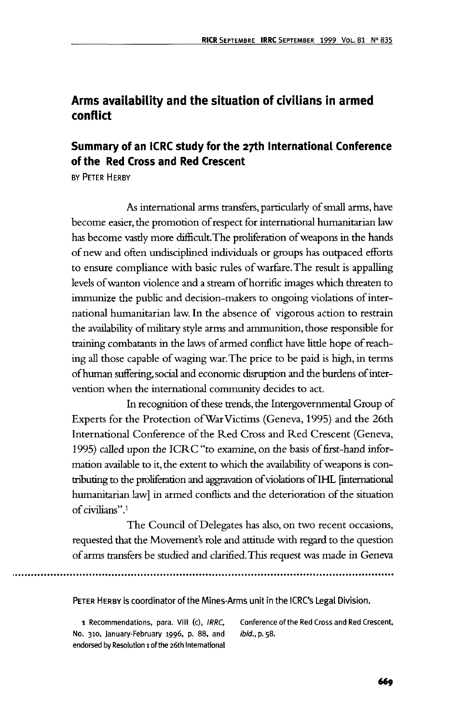## **Arms availability and the situation of civilians in armed conflict**

## **Summary of an ICRC study for the 27th International Conference of the Red Cross and Red Crescent**

BY PETER HERBY

As international arms transfers, particularly of small arms, have become easier, the promotion of respect for international humanitarian law has become vastly more difficult.The proliferation of weapons in the hands of new and often undisciplined individuals or groups has outpaced efforts to ensure compliance with basic rules of warfare. The result is appalling levels of wanton violence and a stream of horrific images which threaten to immunize the public and decision-makers to ongoing violations of international humanitarian law. In the absence of vigorous action to restrain the availability of military style arms and ammunition, those responsible for training combatants in the laws of armed conflict have little hope of reaching all those capable of waging war. The price to be paid is high, in terms of human suffering, social and economic disruption and the burdens of intervention when the international community decides to act.

In recognition of these trends, the Intergovernmental Group of Experts for the Protection ofWarVictims (Geneva, 1995) and the 26th International Conference of the Red Cross and Red Crescent (Geneva, 1995) called upon the ICRC "to examine, on the basis of first-hand information available to it, the extent to which the availability of weapons is contributing to the proliferation and aggravation of violations of IHL [international humanitarian law] in armed conflicts and the deterioration of the situation of civilians".1

The Council of Delegates has also, on two recent occasions, requested that the Movement's role and attitude with regard to the question of arms transfers be studied and clarified. This request was made in Geneva

PETER HERBY is coordinator of the Mines-Arms unit in the ICRC's Legal Division.

No. 310, January-February 1996, p. 88, and *ibid.*, p. 58. endorsed by Resolution 1 of the 26th International

1 Recommendations, para. VIII (c), IRRC, Conference of the Red Cross and Red Crescent,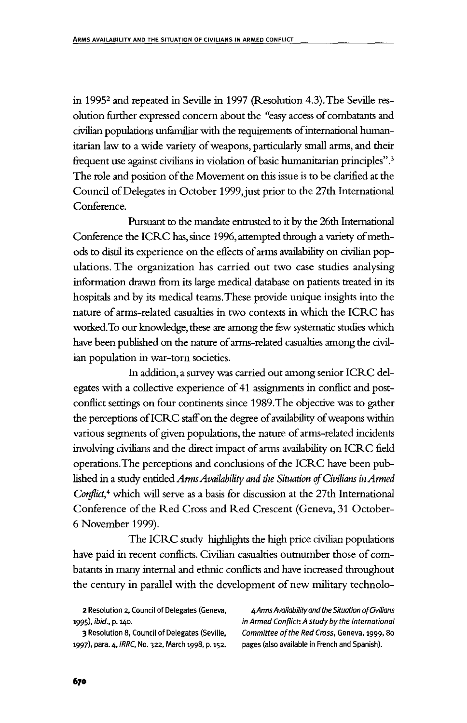in 1995<sup>2</sup> and repeated in Seville in 1997 (Resolution 4.3).The Seville resolution further expressed concern about the "easy access of combatants and civilian populations unfamiliar with the requirements of international humanitarian law to a wide variety of weapons, particularly small arms, and their frequent use against civilians in violation of basic humanitarian principles".<sup>3</sup> The role and position of the Movement on this issue is to be clarified at the Council of Delegates in October 1999, just prior to the 27th International Conference.

Pursuant to the mandate entrusted to it by the 26th International Conference the ICRC has, since 1996, attempted through a variety of methods to distil its experience on the effects of arms availability on civilian populations. The organization has carried out two case studies analysing information drawn from its large medical database on patients treated in its hospitals and by its medical teams. These provide unique insights into the nature of arms-related casualties in two contexts in which the ICRC has worked. To our knowledge, these are among the few systematic studies which have been published on the nature of arms-related casualties among the civilian population in war-torn societies.

In addition, a survey was carried out among senior ICRC delegates with a collective experience of 41 assignments in conflict and postconflict settings on four continents since 1989.The objective was to gather the perceptions of ICRC staff on the degree of availability of weapons within various segments of given populations, the nature of arms-related incidents involving civilians and the direct impact of arms availability on ICRC field operations. The perceptions and conclusions of the ICRC have been published in a study entitled Arms Availability and the Situation of Civilians in Armed *Conflict,<sup>4</sup>* which will serve as a basis for discussion at the 27th International Conference of the Red Cross and Red Crescent (Geneva, 31 October-6 November 1999).

The ICRC study highlights the high price civilian populations have paid in recent conflicts. Civilian casualties outnumber those of combatants in many internal and ethnic conflicts and have increased throughout the century in parallel with the development of new military technolo-

3 Resolution 8, Council of Delegates (Seville, Committee of the Red Cross, Geneva, 1999, 80

<sup>2</sup> Resolution 2, Council of Delegates (Geneva, 4Ams Availability and the Situation of Civilians 1995). ibid., p. 140. In Armed Conflict: A study by the International

<sup>1997),</sup> para. 4, IRRC, No. 322, March 1998, p. 152. pages (also available in French and Spanish).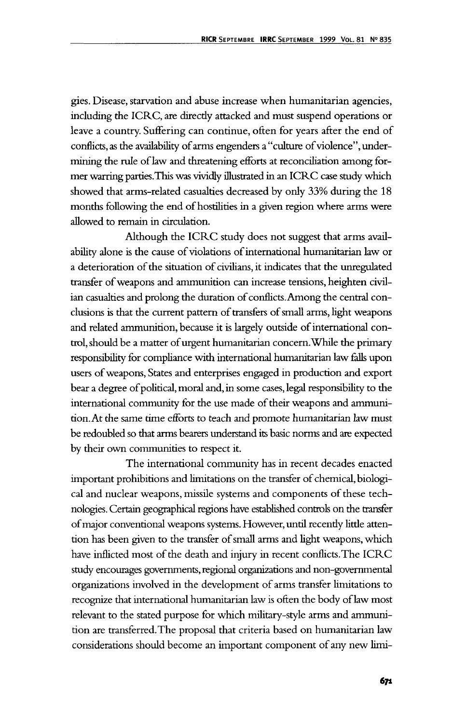gies. Disease, starvation and abuse increase when humanitarian agencies, including the ICRC, are direcdy attacked and must suspend operations or leave a country. Suffering can continue, often for years after the end of conflicts, as the availability of arms engenders a "culture of violence", undermining the rule of law and threatening efforts at reconciliation among former warring parties.This was vividly illustrated in an ICRC case study which showed that arms-related casualties decreased by only 33% during the 18 months following the end of hostilities in a given region where arms were allowed to remain in circulation.

Although the ICRC study does not suggest that arms availability alone is the cause of violations of international humanitarian law or a deterioration of the situation of civilians, it indicates that the unregulated transfer of weapons and ammunition can increase tensions, heighten civilian casualties and prolong the duration of conflicts. Among the central conclusions is that the current pattern of transfers of small arms, light weapons and related ammunition, because it is largely outside of international control, should be a matter of urgent humanitarian concern. While the primary responsibility for compliance with international humanitarian law falls upon users of weapons, States and enterprises engaged in production and export bear a degree of political, moral and, in some cases, legal responsibility to the international community for the use made of their weapons and ammunition. At the same time efforts to teach and promote humanitarian law must be redoubled so that arms bearers understand its basic norms and are expected by their own communities to respect it.

The international community has in recent decades enacted important prohibitions and limitations on the transfer of chemical, biological and nuclear weapons, missile systems and components of these technologies. Certain geographical regions have established controls on die transfer of major conventional weapons systems. However, until recendy litde attention has been given to the transfer of small arms and light weapons, which have inflicted most of the death and injury in recent conflicts. The ICRC study encourages governments, regional organizations and non-governmental organizations involved in the development of arms transfer limitations to recognize that international humanitarian law is often the body of law most relevant to the stated purpose for which military-style arms and ammunition are transferred. The proposal that criteria based on humanitarian law considerations should become an important component of any new limi